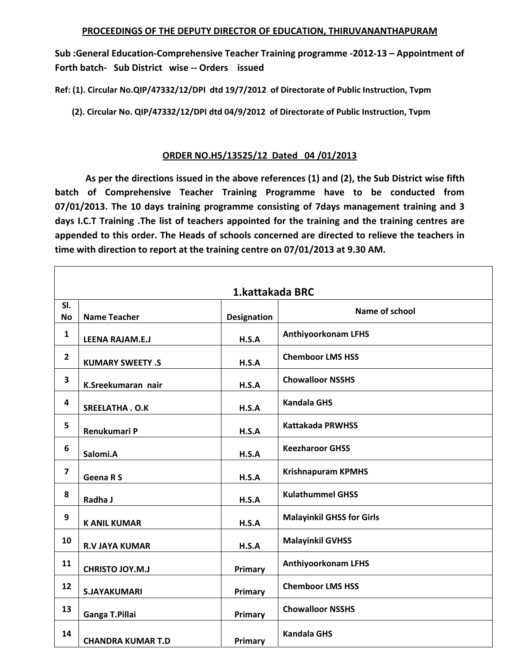**Sub :General Education‐Comprehensive Teacher Training programme ‐2012‐13 – Appointment of Forth batch‐ Sub District wise ‐‐ Orders issued** 

**Ref: (1). Circular No.QIP/47332/12/DPI dtd 19/7/2012 of Directorate of Public Instruction, Tvpm** 

 **(2). Circular No. QIP/47332/12/DPI dtd 04/9/2012 of Directorate of Public Instruction, Tvpm** 

## **ORDER NO.H5/13525/12 Dated 04 /01/2013**

 **As per the directions issued in the above references (1) and (2), the Sub District wise fifth batch of Comprehensive Teacher Training Programme have to be conducted from 07/01/2013. The 10 days training programme consisting of 7days management training and 3 days I.C.T Training .The list of teachers appointed for the training and the training centres are appended to this order. The Heads of schools concerned are directed to relieve the teachers in time with direction to report at the training centre on 07/01/2013 at 9.30 AM.** 

|                         | 1.kattakada BRC          |                    |                                  |  |  |
|-------------------------|--------------------------|--------------------|----------------------------------|--|--|
| SI.<br><b>No</b>        | <b>Name Teacher</b>      | <b>Designation</b> | Name of school                   |  |  |
| 1                       | <b>LEENA RAJAM.E.J</b>   | H.S.A              | <b>Anthiyoorkonam LFHS</b>       |  |  |
| $\overline{2}$          | <b>KUMARY SWEETY .S</b>  | H.S.A              | <b>Chemboor LMS HSS</b>          |  |  |
| $\overline{\mathbf{3}}$ | K.Sreekumaran nair       | H.S.A              | <b>Chowalloor NSSHS</b>          |  |  |
| 4                       | <b>SREELATHA.O.K</b>     | H.S.A              | <b>Kandala GHS</b>               |  |  |
| 5                       | Renukumari P             | H.S.A              | <b>Kattakada PRWHSS</b>          |  |  |
| 6                       | Salomi.A                 | H.S.A              | <b>Keezharoor GHSS</b>           |  |  |
| $\overline{\mathbf{z}}$ | Geena R S                | H.S.A              | <b>Krishnapuram KPMHS</b>        |  |  |
| 8                       | Radha J                  | H.S.A              | <b>Kulathummel GHSS</b>          |  |  |
| 9                       | <b>K ANIL KUMAR</b>      | H.S.A              | <b>Malayinkil GHSS for Girls</b> |  |  |
| 10                      | <b>R.V JAYA KUMAR</b>    | H.S.A              | <b>Malayinkil GVHSS</b>          |  |  |
| 11                      | <b>CHRISTO JOY.M.J</b>   | Primary            | <b>Anthiyoorkonam LFHS</b>       |  |  |
| 12                      | <b>S.JAYAKUMARI</b>      | Primary            | <b>Chemboor LMS HSS</b>          |  |  |
| 13                      | Ganga T.Pillai           | Primary            | <b>Chowalloor NSSHS</b>          |  |  |
| 14                      | <b>CHANDRA KUMAR T.D</b> | Primary            | <b>Kandala GHS</b>               |  |  |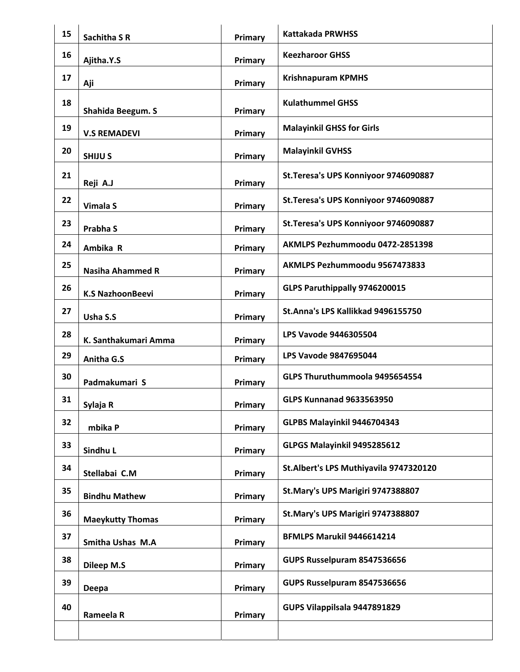| 15 | <b>Sachitha S R</b>     | Primary | <b>Kattakada PRWHSS</b>                |
|----|-------------------------|---------|----------------------------------------|
| 16 | Ajitha.Y.S              | Primary | <b>Keezharoor GHSS</b>                 |
| 17 | Aji                     | Primary | <b>Krishnapuram KPMHS</b>              |
| 18 | Shahida Beegum. S       | Primary | <b>Kulathummel GHSS</b>                |
| 19 | <b>V.S REMADEVI</b>     | Primary | <b>Malayinkil GHSS for Girls</b>       |
| 20 | <b>SHIJUS</b>           | Primary | <b>Malayinkil GVHSS</b>                |
| 21 | Reji A.J                | Primary | St. Teresa's UPS Konniyoor 9746090887  |
| 22 | <b>Vimala S</b>         | Primary | St. Teresa's UPS Konniyoor 9746090887  |
| 23 | Prabha S                | Primary | St. Teresa's UPS Konniyoor 9746090887  |
| 24 | Ambika R                | Primary | AKMLPS Pezhummoodu 0472-2851398        |
| 25 | <b>Nasiha Ahammed R</b> | Primary | AKMLPS Pezhummoodu 9567473833          |
| 26 | <b>K.S NazhoonBeevi</b> | Primary | GLPS Paruthippally 9746200015          |
| 27 | Usha S.S                | Primary | St.Anna's LPS Kallikkad 9496155750     |
| 28 | K. Santhakumari Amma    | Primary | LPS Vavode 9446305504                  |
| 29 | Anitha G.S              | Primary | <b>LPS Vavode 9847695044</b>           |
| 30 | Padmakumari S           | Primary | GLPS Thuruthummoola 9495654554         |
| 31 | Sylaja R                | Primary | <b>GLPS Kunnanad 9633563950</b>        |
| 32 | mbika P                 | Primary | GLPBS Malayinkil 9446704343            |
| 33 | Sindhu L                | Primary | GLPGS Malayinkil 9495285612            |
| 34 | Stellabai C.M           | Primary | St.Albert's LPS Muthiyavila 9747320120 |
| 35 | <b>Bindhu Mathew</b>    | Primary | St.Mary's UPS Marigiri 9747388807      |
| 36 | <b>Maeykutty Thomas</b> | Primary | St. Mary's UPS Marigiri 9747388807     |
| 37 | Smitha Ushas M.A        | Primary | BFMLPS Marukil 9446614214              |
| 38 | <b>Dileep M.S</b>       | Primary | GUPS Russelpuram 8547536656            |
| 39 | Deepa                   | Primary | GUPS Russelpuram 8547536656            |
| 40 | Rameela R               | Primary | GUPS Vilappilsala 9447891829           |
|    |                         |         |                                        |
|    |                         |         |                                        |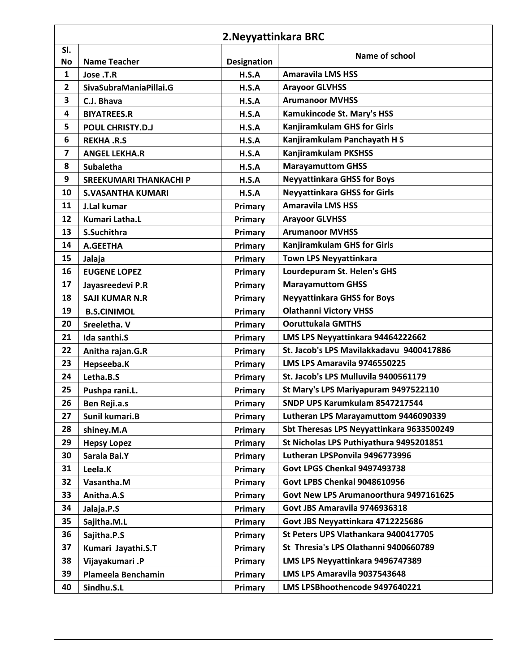|                  | 2. Neyyattinkara BRC          |                    |                                           |  |
|------------------|-------------------------------|--------------------|-------------------------------------------|--|
| SI.<br><b>No</b> | <b>Name Teacher</b>           | <b>Designation</b> | Name of school                            |  |
| 1                | Jose .T.R                     | H.S.A              | <b>Amaravila LMS HSS</b>                  |  |
| $\mathbf{2}$     | SivaSubraManiaPillai.G        | H.S.A              | <b>Arayoor GLVHSS</b>                     |  |
| 3                | C.J. Bhava                    | H.S.A              | <b>Arumanoor MVHSS</b>                    |  |
| 4                | <b>BIYATREES.R</b>            | H.S.A              | Kamukincode St. Mary's HSS                |  |
| 5                | <b>POUL CHRISTY.D.J</b>       | H.S.A              | <b>Kanjiramkulam GHS for Girls</b>        |  |
| 6                | <b>REKHA .R.S</b>             | H.S.A              | Kanjiramkulam Panchayath H S              |  |
| 7                | <b>ANGEL LEKHA.R</b>          | H.S.A              | <b>Kanjiramkulam PKSHSS</b>               |  |
| 8                | <b>Subaletha</b>              | H.S.A              | <b>Marayamuttom GHSS</b>                  |  |
| 9                | <b>SREEKUMARI THANKACHI P</b> | H.S.A              | <b>Neyyattinkara GHSS for Boys</b>        |  |
| 10               | <b>S.VASANTHA KUMARI</b>      | H.S.A              | <b>Neyyattinkara GHSS for Girls</b>       |  |
| 11               | J.Lal kumar                   | Primary            | <b>Amaravila LMS HSS</b>                  |  |
| 12               | <b>Kumari Latha.L</b>         | Primary            | <b>Arayoor GLVHSS</b>                     |  |
| 13               | S.Suchithra                   | Primary            | <b>Arumanoor MVHSS</b>                    |  |
| 14               | A.GEETHA                      | Primary            | <b>Kanjiramkulam GHS for Girls</b>        |  |
| 15               | Jalaja                        | Primary            | <b>Town LPS Neyyattinkara</b>             |  |
| 16               | <b>EUGENE LOPEZ</b>           | Primary            | Lourdepuram St. Helen's GHS               |  |
| 17               | Jayasreedevi P.R              | Primary            | <b>Marayamuttom GHSS</b>                  |  |
| 18               | <b>SAJI KUMAR N.R</b>         | Primary            | <b>Neyyattinkara GHSS for Boys</b>        |  |
| 19               | <b>B.S.CINIMOL</b>            | Primary            | <b>Olathanni Victory VHSS</b>             |  |
| 20               | Sreeletha. V                  | Primary            | <b>Ooruttukala GMTHS</b>                  |  |
| 21               | Ida santhi.S                  | Primary            | LMS LPS Neyyattinkara 94464222662         |  |
| 22               | Anitha rajan.G.R              | Primary            | St. Jacob's LPS Mavilakkadavu 9400417886  |  |
| 23               | Hepseeba.K                    | Primary            | LMS LPS Amaravila 9746550225              |  |
| 24               | Letha.B.S                     | Primary            | St. Jacob's LPS Mulluvila 9400561179      |  |
| 25               | Pushpa rani.L.                | Primary            | St Mary's LPS Mariyapuram 9497522110      |  |
| 26               | Ben Reji.a.s                  | Primary            | SNDP UPS Karumkulam 8547217544            |  |
| 27               | Sunil kumari.B                | Primary            | Lutheran LPS Marayamuttom 9446090339      |  |
| 28               | shiney.M.A                    | Primary            | Sbt Theresas LPS Neyyattinkara 9633500249 |  |
| 29               | <b>Hepsy Lopez</b>            | Primary            | St Nicholas LPS Puthiyathura 9495201851   |  |
| 30               | Sarala Bai.Y                  | Primary            | Lutheran LPSPonvila 9496773996            |  |
| 31               | Leela.K                       | Primary            | Govt LPGS Chenkal 9497493738              |  |
| 32               | Vasantha.M                    | Primary            | <b>Govt LPBS Chenkal 9048610956</b>       |  |
| 33               | Anitha.A.S                    | Primary            | Govt New LPS Arumanoorthura 9497161625    |  |
| 34               | Jalaja.P.S                    | Primary            | Govt JBS Amaravila 9746936318             |  |
| 35               | Sajitha.M.L                   | Primary            | Govt JBS Neyyattinkara 4712225686         |  |
| 36               | Sajitha.P.S                   | Primary            | St Peters UPS Vlathankara 9400417705      |  |
| 37               | Kumari Jayathi.S.T            | Primary            | St Thresia's LPS Olathanni 9400660789     |  |
| 38               | Vijayakumari .P               | Primary            | LMS LPS Neyyattinkara 9496747389          |  |
| 39               | Plameela Benchamin            | Primary            | LMS LPS Amaravila 9037543648              |  |
| 40               | Sindhu.S.L                    | Primary            | LMS LPSBhoothencode 9497640221            |  |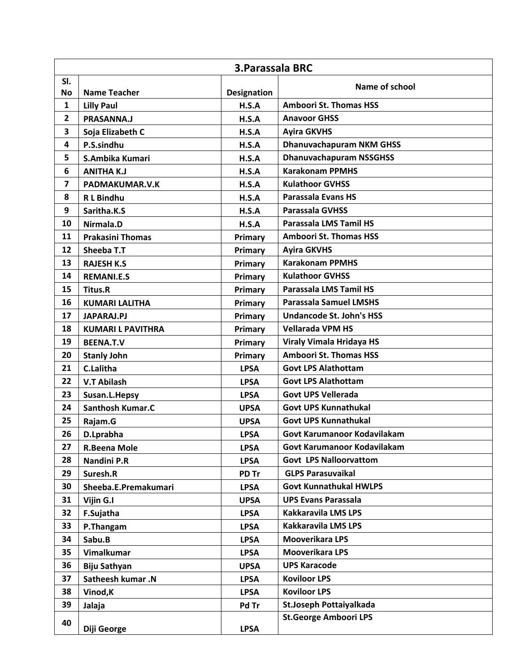|                         | <b>3. Parassala BRC</b>         |                    |                                                          |  |
|-------------------------|---------------------------------|--------------------|----------------------------------------------------------|--|
| SI.                     |                                 |                    | Name of school                                           |  |
| <b>No</b>               | <b>Name Teacher</b>             | <b>Designation</b> | <b>Amboori St. Thomas HSS</b>                            |  |
| 1<br>$\overline{2}$     | <b>Lilly Paul</b><br>PRASANNA.J | H.S.A<br>H.S.A     | <b>Anavoor GHSS</b>                                      |  |
| 3                       |                                 |                    |                                                          |  |
| 4                       | Soja Elizabeth C                | H.S.A              | <b>Ayira GKVHS</b><br><b>Dhanuvachapuram NKM GHSS</b>    |  |
| 5                       | P.S.sindhu                      | H.S.A              |                                                          |  |
| 6                       | S.Ambika Kumari                 | H.S.A              | <b>Dhanuvachapuram NSSGHSS</b><br><b>Karakonam PPMHS</b> |  |
|                         | <b>ANITHA K.J</b>               | H.S.A              | <b>Kulathoor GVHSS</b>                                   |  |
| $\overline{\mathbf{z}}$ | PADMAKUMAR.V.K                  | H.S.A              |                                                          |  |
| 8                       | <b>RL</b> Bindhu                | H.S.A              | <b>Parassala Evans HS</b>                                |  |
| 9                       | Saritha.K.S                     | H.S.A              | Parassala GVHSS                                          |  |
| 10                      | Nirmala.D                       | H.S.A              | <b>Parassala LMS Tamil HS</b>                            |  |
| 11                      | <b>Prakasini Thomas</b>         | Primary            | <b>Amboori St. Thomas HSS</b>                            |  |
| 12                      | Sheeba T.T                      | Primary            | <b>Ayira GKVHS</b>                                       |  |
| 13                      | <b>RAJESH K.S</b>               | Primary            | <b>Karakonam PPMHS</b>                                   |  |
| 14                      | <b>REMANI.E.S</b>               | Primary            | <b>Kulathoor GVHSS</b>                                   |  |
| 15                      | <b>Titus.R</b>                  | Primary            | Parassala LMS Tamil HS                                   |  |
| 16                      | <b>KUMARI LALITHA</b>           | Primary            | <b>Parassala Samuel LMSHS</b>                            |  |
| 17                      | <b>JAPARAJ.PJ</b>               | Primary            | <b>Undancode St. John's HSS</b>                          |  |
| 18                      | <b>KUMARI L PAVITHRA</b>        | Primary            | <b>Vellarada VPM HS</b>                                  |  |
| 19                      | <b>BEENA.T.V</b>                | Primary            | Viraly Vimala Hridaya HS                                 |  |
| 20                      | <b>Stanly John</b>              | Primary            | <b>Amboori St. Thomas HSS</b>                            |  |
| 21                      | <b>C.Lalitha</b>                | <b>LPSA</b>        | <b>Govt LPS Alathottam</b>                               |  |
| 22                      | <b>V.T Abilash</b>              | <b>LPSA</b>        | <b>Govt LPS Alathottam</b>                               |  |
| 23                      | Susan.L.Hepsy                   | <b>LPSA</b>        | <b>Govt UPS Vellerada</b>                                |  |
| 24                      | Santhosh Kumar.C                | <b>UPSA</b>        | <b>Govt UPS Kunnathukal</b>                              |  |
| 25                      | Rajam.G                         | <b>UPSA</b>        | <b>Govt UPS Kunnathukal</b>                              |  |
| 26                      | D.Lprabha                       | <b>LPSA</b>        | Govt Karumanoor Kodavilakam                              |  |
| 27                      | <b>R.Beena Mole</b>             | <b>LPSA</b>        | Govt Karumanoor Kodavilakam                              |  |
| 28                      | Nandini P.R                     | <b>LPSA</b>        | <b>Govt LPS Nalloorvattom</b>                            |  |
| 29                      | Suresh.R                        | PD Tr              | <b>GLPS Parasuvaikal</b>                                 |  |
| 30                      | Sheeba.E.Premakumari            | <b>LPSA</b>        | <b>Govt Kunnathukal HWLPS</b>                            |  |
| 31                      | Vijin G.I                       | <b>UPSA</b>        | <b>UPS Evans Parassala</b>                               |  |
| 32                      | F.Sujatha                       | <b>LPSA</b>        | <b>Kakkaravila LMS LPS</b>                               |  |
| 33                      | P.Thangam                       | <b>LPSA</b>        | <b>Kakkaravila LMS LPS</b>                               |  |
| 34                      | Sabu.B                          | <b>LPSA</b>        | <b>Mooverikara LPS</b>                                   |  |
| 35                      | Vimalkumar                      | <b>LPSA</b>        | <b>Mooverikara LPS</b>                                   |  |
| 36                      | <b>Biju Sathyan</b>             | <b>UPSA</b>        | <b>UPS Karacode</b>                                      |  |
| 37                      | Satheesh kumar.N                | <b>LPSA</b>        | <b>Koviloor LPS</b>                                      |  |
| 38                      | Vinod, K                        | <b>LPSA</b>        | <b>Koviloor LPS</b>                                      |  |
| 39                      | Jalaja                          | Pd Tr              | St.Joseph Pottaiyalkada                                  |  |
| 40                      | Diji George                     | <b>LPSA</b>        | <b>St.George Amboori LPS</b>                             |  |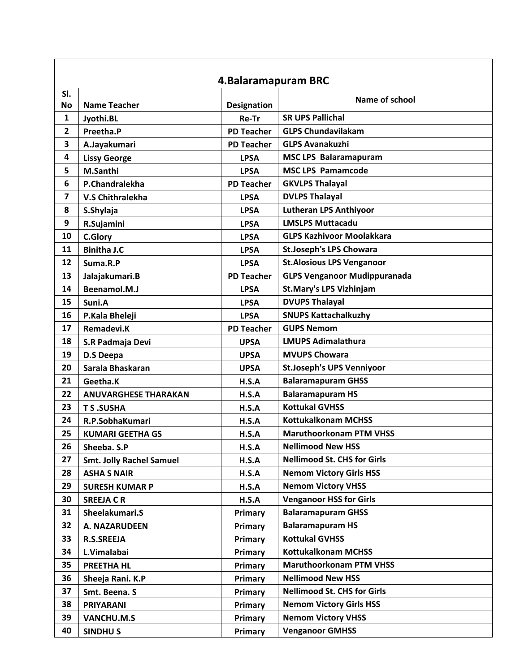|                  | 4. Balaramapuram BRC            |                    |                                     |  |  |
|------------------|---------------------------------|--------------------|-------------------------------------|--|--|
| SI.<br><b>No</b> | <b>Name Teacher</b>             | <b>Designation</b> | Name of school                      |  |  |
| 1                | Jyothi.BL                       | Re-Tr              | <b>SR UPS Pallichal</b>             |  |  |
| $\mathbf{2}$     | Preetha.P                       | <b>PD Teacher</b>  | <b>GLPS Chundavilakam</b>           |  |  |
| 3                | A.Jayakumari                    | <b>PD Teacher</b>  | <b>GLPS Avanakuzhi</b>              |  |  |
| 4                | <b>Lissy George</b>             | <b>LPSA</b>        | <b>MSC LPS Balaramapuram</b>        |  |  |
| 5                | M.Santhi                        | <b>LPSA</b>        | <b>MSC LPS Pamamcode</b>            |  |  |
| 6                | P.Chandralekha                  | <b>PD Teacher</b>  | <b>GKVLPS Thalayal</b>              |  |  |
| $\overline{7}$   | <b>V.S Chithralekha</b>         | <b>LPSA</b>        | <b>DVLPS Thalayal</b>               |  |  |
| 8                | S.Shylaja                       | <b>LPSA</b>        | <b>Lutheran LPS Anthiyoor</b>       |  |  |
| 9                | R.Sujamini                      | <b>LPSA</b>        | <b>LMSLPS Muttacadu</b>             |  |  |
| 10               | <b>C.Glory</b>                  | <b>LPSA</b>        | <b>GLPS Kazhivoor Moolakkara</b>    |  |  |
| 11               | <b>Binitha J.C</b>              | <b>LPSA</b>        | <b>St.Joseph's LPS Chowara</b>      |  |  |
| 12               | Suma.R.P                        | <b>LPSA</b>        | <b>St.Alosious LPS Venganoor</b>    |  |  |
| 13               | Jalajakumari.B                  | <b>PD Teacher</b>  | <b>GLPS Venganoor Mudippuranada</b> |  |  |
| 14               | Beenamol.M.J                    | <b>LPSA</b>        | <b>St.Mary's LPS Vizhinjam</b>      |  |  |
| 15               | Suni.A                          | <b>LPSA</b>        | <b>DVUPS Thalayal</b>               |  |  |
| 16               | P.Kala Bheleji                  | <b>LPSA</b>        | <b>SNUPS Kattachalkuzhy</b>         |  |  |
| 17               | Remadevi.K                      | <b>PD Teacher</b>  | <b>GUPS Nemom</b>                   |  |  |
| 18               | S.R Padmaja Devi                | <b>UPSA</b>        | <b>LMUPS Adimalathura</b>           |  |  |
| 19               | <b>D.S Deepa</b>                | <b>UPSA</b>        | <b>MVUPS Chowara</b>                |  |  |
| 20               | Sarala Bhaskaran                | <b>UPSA</b>        | <b>St.Joseph's UPS Venniyoor</b>    |  |  |
| 21               | Geetha.K                        | H.S.A              | <b>Balaramapuram GHSS</b>           |  |  |
| 22               | <b>ANUVARGHESE THARAKAN</b>     | H.S.A              | <b>Balaramapuram HS</b>             |  |  |
| 23               | <b>TS.SUSHA</b>                 | H.S.A              | <b>Kottukal GVHSS</b>               |  |  |
| 24               | R.P.SobhaKumari                 | H.S.A              | <b>Kottukalkonam MCHSS</b>          |  |  |
| 25               | <b>KUMARI GEETHA GS</b>         | H.S.A              | <b>Maruthoorkonam PTM VHSS</b>      |  |  |
| 26               | Sheeba. S.P                     | H.S.A              | <b>Nellimood New HSS</b>            |  |  |
| 27               | <b>Smt. Jolly Rachel Samuel</b> | H.S.A              | <b>Nellimood St. CHS for Girls</b>  |  |  |
| 28               | <b>ASHA S NAIR</b>              | H.S.A              | <b>Nemom Victory Girls HSS</b>      |  |  |
| 29               | <b>SURESH KUMAR P</b>           | H.S.A              | <b>Nemom Victory VHSS</b>           |  |  |
| 30               | <b>SREEJA CR</b>                | H.S.A              | <b>Venganoor HSS for Girls</b>      |  |  |
| 31               | Sheelakumari.S                  | Primary            | <b>Balaramapuram GHSS</b>           |  |  |
| 32               | A. NAZARUDEEN                   | Primary            | <b>Balaramapuram HS</b>             |  |  |
| 33               | <b>R.S.SREEJA</b>               | Primary            | <b>Kottukal GVHSS</b>               |  |  |
| 34               | L.Vimalabai                     | Primary            | <b>Kottukalkonam MCHSS</b>          |  |  |
| 35               | <b>PREETHA HL</b>               | Primary            | <b>Maruthoorkonam PTM VHSS</b>      |  |  |
| 36               | Sheeja Rani. K.P                | Primary            | <b>Nellimood New HSS</b>            |  |  |
| 37               | Smt. Beena. S                   | Primary            | <b>Nellimood St. CHS for Girls</b>  |  |  |
| 38               | <b>PRIYARANI</b>                | Primary            | <b>Nemom Victory Girls HSS</b>      |  |  |
| 39               | <b>VANCHU.M.S</b>               | <b>Primary</b>     | <b>Nemom Victory VHSS</b>           |  |  |
| 40               | <b>SINDHUS</b>                  | Primary            | <b>Venganoor GMHSS</b>              |  |  |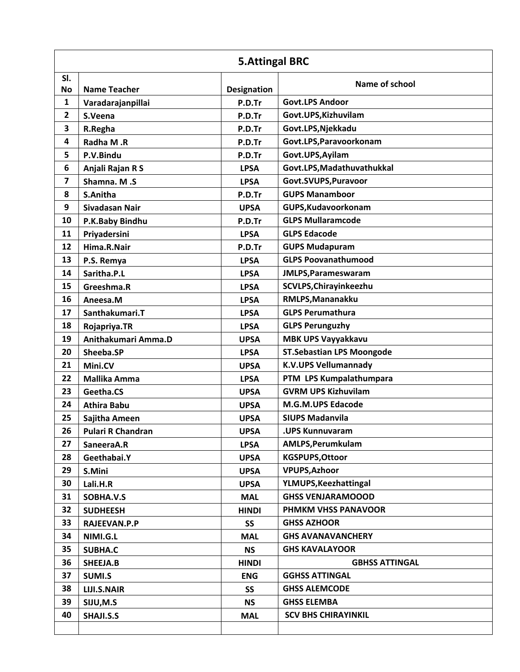|                         | <b>5.Attingal BRC</b>    |                    |                                  |  |
|-------------------------|--------------------------|--------------------|----------------------------------|--|
| SI.<br><b>No</b>        | <b>Name Teacher</b>      | <b>Designation</b> | Name of school                   |  |
| $\mathbf{1}$            | Varadarajanpillai        | P.D.Tr             | <b>Govt.LPS Andoor</b>           |  |
| $\overline{2}$          | S.Veena                  | P.D.Tr             | Govt.UPS, Kizhuvilam             |  |
| 3                       | R.Regha                  | P.D.Tr             | Govt.LPS, Njekkadu               |  |
| 4                       | Radha M.R                | P.D.Tr             | Govt.LPS, Paravoorkonam          |  |
| 5                       | P.V.Bindu                | P.D.Tr             | Govt.UPS, Ayilam                 |  |
| 6                       | Anjali Rajan R S         | <b>LPSA</b>        | Govt.LPS, Madathuvathukkal       |  |
| $\overline{\mathbf{z}}$ | Shamna. M.S              | <b>LPSA</b>        | Govt.SVUPS, Puravoor             |  |
| 8                       | S.Anitha                 | P.D.Tr             | <b>GUPS Manamboor</b>            |  |
| 9                       | Sivadasan Nair           | <b>UPSA</b>        | GUPS, Kudavoorkonam              |  |
| 10                      | P.K.Baby Bindhu          | P.D.Tr             | <b>GLPS Mullaramcode</b>         |  |
| 11                      | Priyadersini             | <b>LPSA</b>        | <b>GLPS Edacode</b>              |  |
| 12                      | Hima.R.Nair              | P.D.Tr             | <b>GUPS Mudapuram</b>            |  |
| 13                      | P.S. Remya               | <b>LPSA</b>        | <b>GLPS Poovanathumood</b>       |  |
| 14                      | Saritha.P.L              | <b>LPSA</b>        | JMLPS, Parameswaram              |  |
| 15                      | Greeshma.R               | <b>LPSA</b>        | SCVLPS, Chirayinkeezhu           |  |
| 16                      | Aneesa.M                 | <b>LPSA</b>        | RMLPS, Mananakku                 |  |
| 17                      | Santhakumari.T           | <b>LPSA</b>        | <b>GLPS Perumathura</b>          |  |
| 18                      | Rojapriya.TR             | <b>LPSA</b>        | <b>GLPS Perunguzhy</b>           |  |
| 19                      | Anithakumari Amma.D      | <b>UPSA</b>        | <b>MBK UPS Vayyakkavu</b>        |  |
| 20                      | Sheeba.SP                | <b>LPSA</b>        | <b>ST.Sebastian LPS Moongode</b> |  |
| 21                      | Mini.CV                  | <b>UPSA</b>        | <b>K.V.UPS Vellumannady</b>      |  |
| 22                      | Mallika Amma             | <b>LPSA</b>        | PTM LPS Kumpalathumpara          |  |
| 23                      | Geetha.CS                | <b>UPSA</b>        | <b>GVRM UPS Kizhuvilam</b>       |  |
| 24                      | <b>Athira Babu</b>       | <b>UPSA</b>        | M.G.M.UPS Edacode                |  |
| 25                      | Sajitha Ameen            | <b>UPSA</b>        | <b>SIUPS Madanvila</b>           |  |
| 26                      | <b>Pulari R Chandran</b> | <b>UPSA</b>        | .UPS Kunnuvaram                  |  |
| 27                      | SaneeraA.R               | <b>LPSA</b>        | AMLPS, Perumkulam                |  |
| 28                      | Geethabai.Y              | <b>UPSA</b>        | <b>KGSPUPS, Ottoor</b>           |  |
| 29                      | S.Mini                   | <b>UPSA</b>        | <b>VPUPS, Azhoor</b>             |  |
| 30                      | Lali.H.R                 | <b>UPSA</b>        | YLMUPS, Keezhattingal            |  |
| 31                      | SOBHA.V.S                | <b>MAL</b>         | <b>GHSS VENJARAMOOOD</b>         |  |
| 32                      | <b>SUDHEESH</b>          | <b>HINDI</b>       | PHMKM VHSS PANAVOOR              |  |
| 33                      | RAJEEVAN.P.P             | <b>SS</b>          | <b>GHSS AZHOOR</b>               |  |
| 34                      | NIMI.G.L                 | <b>MAL</b>         | <b>GHS AVANAVANCHERY</b>         |  |
| 35                      | <b>SUBHA.C</b>           | <b>NS</b>          | <b>GHS KAVALAYOOR</b>            |  |
| 36                      | SHEEJA.B                 | <b>HINDI</b>       | <b>GBHSS ATTINGAL</b>            |  |
| 37                      | SUMI.S                   | <b>ENG</b>         | <b>GGHSS ATTINGAL</b>            |  |
| 38                      | LIJI.S.NAIR              | <b>SS</b>          | <b>GHSS ALEMCODE</b>             |  |
| 39                      | SIJU,M.S                 | <b>NS</b>          | <b>GHSS ELEMBA</b>               |  |
| 40                      | SHAJI.S.S                | <b>MAL</b>         | <b>SCV BHS CHIRAYINKIL</b>       |  |
|                         |                          |                    |                                  |  |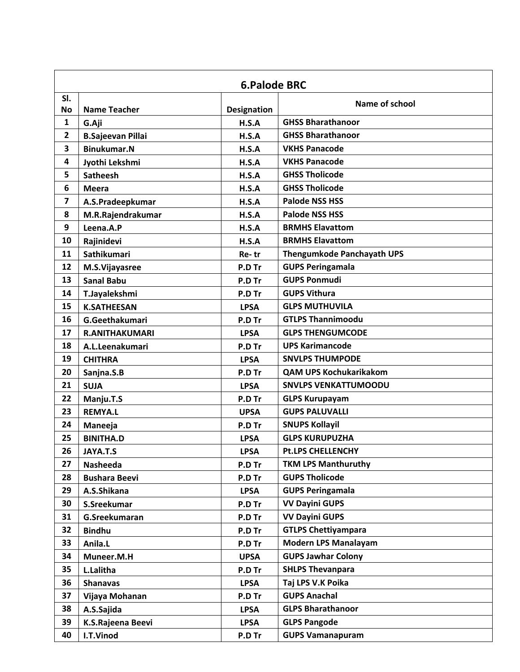|                         | <b>6.Palode BRC</b>      |                    |                                   |  |
|-------------------------|--------------------------|--------------------|-----------------------------------|--|
| SI.<br><b>No</b>        | <b>Name Teacher</b>      | <b>Designation</b> | Name of school                    |  |
| 1                       | G.Aji                    | H.S.A              | <b>GHSS Bharathanoor</b>          |  |
| $\overline{2}$          | <b>B.Sajeevan Pillai</b> | H.S.A              | <b>GHSS Bharathanoor</b>          |  |
| 3                       | <b>Binukumar.N</b>       | H.S.A              | <b>VKHS Panacode</b>              |  |
| 4                       | Jyothi Lekshmi           | H.S.A              | <b>VKHS Panacode</b>              |  |
| 5                       | <b>Satheesh</b>          | H.S.A              | <b>GHSS Tholicode</b>             |  |
| 6                       | <b>Meera</b>             | H.S.A              | <b>GHSS Tholicode</b>             |  |
| $\overline{\mathbf{z}}$ | A.S.Pradeepkumar         | H.S.A              | <b>Palode NSS HSS</b>             |  |
| 8                       | M.R.Rajendrakumar        | H.S.A              | <b>Palode NSS HSS</b>             |  |
| 9                       | Leena.A.P                | H.S.A              | <b>BRMHS Elavattom</b>            |  |
| 10                      | Rajinidevi               | H.S.A              | <b>BRMHS Elavattom</b>            |  |
| 11                      | Sathikumari              | Re-tr              | <b>Thengumkode Panchayath UPS</b> |  |
| 12                      | M.S.Vijayasree           | P.D Tr             | <b>GUPS Peringamala</b>           |  |
| 13                      | <b>Sanal Babu</b>        | P.D Tr             | <b>GUPS Ponmudi</b>               |  |
| 14                      | T.Jayalekshmi            | P.D Tr             | <b>GUPS Vithura</b>               |  |
| 15                      | <b>K.SATHEESAN</b>       | <b>LPSA</b>        | <b>GLPS MUTHUVILA</b>             |  |
| 16                      | G.Geethakumari           | P.D Tr             | <b>GTLPS Thannimoodu</b>          |  |
| 17                      | <b>R.ANITHAKUMARI</b>    | <b>LPSA</b>        | <b>GLPS THENGUMCODE</b>           |  |
| 18                      | A.L.Leenakumari          | P.D Tr             | <b>UPS Karimancode</b>            |  |
| 19                      | <b>CHITHRA</b>           | <b>LPSA</b>        | <b>SNVLPS THUMPODE</b>            |  |
| 20                      | Sanjna.S.B               | P.D Tr             | <b>QAM UPS Kochukarikakom</b>     |  |
| 21                      | <b>SUJA</b>              | <b>LPSA</b>        | <b>SNVLPS VENKATTUMOODU</b>       |  |
| 22                      | Manju.T.S                | P.D Tr             | <b>GLPS Kurupayam</b>             |  |
| 23                      | <b>REMYA.L</b>           | <b>UPSA</b>        | <b>GUPS PALUVALLI</b>             |  |
| 24                      | Maneeja                  | P.D Tr             | <b>SNUPS Kollayil</b>             |  |
| 25                      | <b>BINITHA.D</b>         | <b>LPSA</b>        | <b>GLPS KURUPUZHA</b>             |  |
| 26                      | JAYA.T.S                 | <b>LPSA</b>        | <b>Pt.LPS CHELLENCHY</b>          |  |
| 27                      | Nasheeda                 | P.D Tr             | <b>TKM LPS Manthuruthy</b>        |  |
| 28                      | <b>Bushara Beevi</b>     | P.D Tr             | <b>GUPS Tholicode</b>             |  |
| 29                      | A.S.Shikana              | <b>LPSA</b>        | <b>GUPS Peringamala</b>           |  |
| 30                      | S.Sreekumar              | P.D Tr             | <b>VV Dayini GUPS</b>             |  |
| 31                      | G.Sreekumaran            | P.D Tr             | <b>VV Dayini GUPS</b>             |  |
| 32                      | <b>Bindhu</b>            | P.D Tr             | <b>GTLPS Chettiyampara</b>        |  |
| 33                      | Anila.L                  | P.D Tr             | <b>Modern LPS Manalayam</b>       |  |
| 34                      | Muneer.M.H               | <b>UPSA</b>        | <b>GUPS Jawhar Colony</b>         |  |
| 35                      | L.Lalitha                | P.D Tr             | <b>SHLPS Thevanpara</b>           |  |
| 36                      | <b>Shanavas</b>          | <b>LPSA</b>        | Taj LPS V.K Poika                 |  |
| 37                      | Vijaya Mohanan           | P.D Tr             | <b>GUPS Anachal</b>               |  |
| 38                      | A.S.Sajida               | <b>LPSA</b>        | <b>GLPS Bharathanoor</b>          |  |
| 39                      | K.S.Rajeena Beevi        | <b>LPSA</b>        | <b>GLPS Pangode</b>               |  |
| 40                      | I.T.Vinod                | P.D Tr             | <b>GUPS Vamanapuram</b>           |  |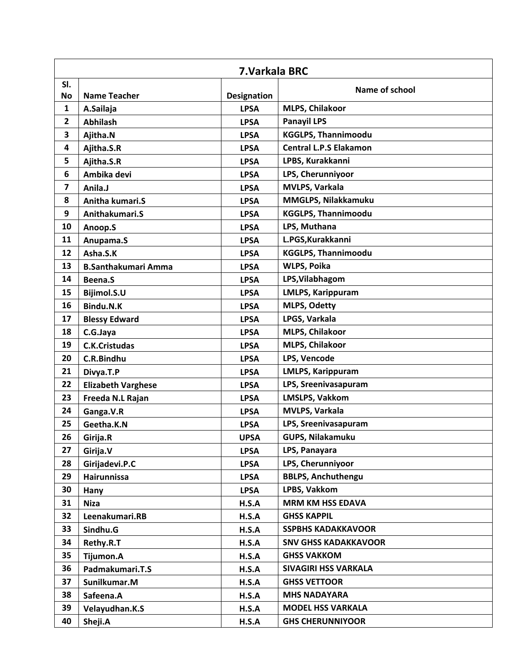|                         | 7. Varkala BRC             |                    |                               |  |
|-------------------------|----------------------------|--------------------|-------------------------------|--|
| SI.                     |                            |                    | Name of school                |  |
| <b>No</b>               | <b>Name Teacher</b>        | <b>Designation</b> |                               |  |
| 1                       | A.Sailaja                  | <b>LPSA</b>        | MLPS, Chilakoor               |  |
| $\mathbf{2}$            | <b>Abhilash</b>            | <b>LPSA</b>        | <b>Panayil LPS</b>            |  |
| 3                       | Ajitha.N                   | <b>LPSA</b>        | <b>KGGLPS, Thannimoodu</b>    |  |
| $\overline{\mathbf{4}}$ | Ajitha.S.R                 | <b>LPSA</b>        | <b>Central L.P.S Elakamon</b> |  |
| 5                       | Ajitha.S.R                 | <b>LPSA</b>        | LPBS, Kurakkanni              |  |
| 6                       | Ambika devi                | <b>LPSA</b>        | LPS, Cherunniyoor             |  |
| 7                       | Anila.J                    | <b>LPSA</b>        | MVLPS, Varkala                |  |
| 8                       | Anitha kumari.S            | <b>LPSA</b>        | MMGLPS, Nilakkamuku           |  |
| 9                       | Anithakumari.S             | <b>LPSA</b>        | <b>KGGLPS, Thannimoodu</b>    |  |
| 10                      | Anoop.S                    | <b>LPSA</b>        | LPS, Muthana                  |  |
| 11                      | Anupama.S                  | <b>LPSA</b>        | L.PGS, Kurakkanni             |  |
| 12                      | Asha.S.K                   | <b>LPSA</b>        | <b>KGGLPS, Thannimoodu</b>    |  |
| 13                      | <b>B.Santhakumari Amma</b> | <b>LPSA</b>        | <b>WLPS, Poika</b>            |  |
| 14                      | Beena.S                    | <b>LPSA</b>        | LPS, Vilabhagom               |  |
| 15                      | Bijimol.S.U                | <b>LPSA</b>        | <b>LMLPS, Karippuram</b>      |  |
| 16                      | Bindu.N.K                  | <b>LPSA</b>        | <b>MLPS, Odetty</b>           |  |
| 17                      | <b>Blessy Edward</b>       | <b>LPSA</b>        | LPGS, Varkala                 |  |
| 18                      | C.G.Jaya                   | <b>LPSA</b>        | MLPS, Chilakoor               |  |
| 19                      | <b>C.K.Cristudas</b>       | <b>LPSA</b>        | <b>MLPS, Chilakoor</b>        |  |
| 20                      | C.R.Bindhu                 | <b>LPSA</b>        | LPS, Vencode                  |  |
| 21                      | Divya.T.P                  | <b>LPSA</b>        | <b>LMLPS, Karippuram</b>      |  |
| 22                      | <b>Elizabeth Varghese</b>  | <b>LPSA</b>        | LPS, Sreenivasapuram          |  |
| 23                      | Freeda N.L Rajan           | <b>LPSA</b>        | <b>LMSLPS, Vakkom</b>         |  |
| 24                      | Ganga.V.R                  | <b>LPSA</b>        | MVLPS, Varkala                |  |
| 25                      | Geetha.K.N                 | <b>LPSA</b>        | LPS, Sreenivasapuram          |  |
| 26                      | Girija.R                   | <b>UPSA</b>        | <b>GUPS, Nilakamuku</b>       |  |
| 27                      | Girija.V                   | <b>LPSA</b>        | LPS, Panayara                 |  |
| 28                      | Girijadevi.P.C             | <b>LPSA</b>        | LPS, Cherunniyoor             |  |
| 29                      | Hairunnissa                | <b>LPSA</b>        | <b>BBLPS, Anchuthengu</b>     |  |
| 30                      | Hany                       | <b>LPSA</b>        | LPBS, Vakkom                  |  |
| 31                      | <b>Niza</b>                | H.S.A              | <b>MRM KM HSS EDAVA</b>       |  |
| 32                      | Leenakumari.RB             | H.S.A              | <b>GHSS KAPPIL</b>            |  |
| 33                      | Sindhu.G                   | H.S.A              | <b>SSPBHS KADAKKAVOOR</b>     |  |
| 34                      | Rethy.R.T                  | H.S.A              | <b>SNV GHSS KADAKKAVOOR</b>   |  |
| 35                      | Tijumon.A                  | H.S.A              | <b>GHSS VAKKOM</b>            |  |
| 36                      | Padmakumari.T.S            | H.S.A              | SIVAGIRI HSS VARKALA          |  |
| 37                      | Sunilkumar.M               | H.S.A              | <b>GHSS VETTOOR</b>           |  |
| 38                      | Safeena.A                  | H.S.A              | <b>MHS NADAYARA</b>           |  |
| 39                      | Velayudhan.K.S             | H.S.A              | <b>MODEL HSS VARKALA</b>      |  |
| 40                      | Sheji.A                    | H.S.A              | <b>GHS CHERUNNIYOOR</b>       |  |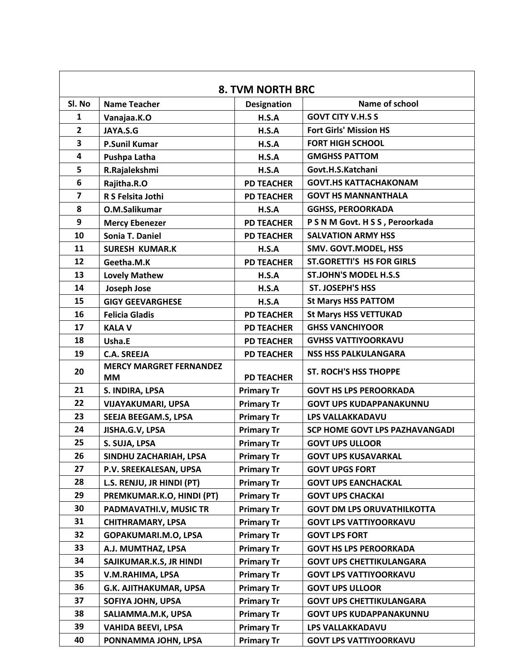| <b>8. TVM NORTH BRC</b> |                                             |                    |                                   |  |  |
|-------------------------|---------------------------------------------|--------------------|-----------------------------------|--|--|
| SI. No                  | <b>Name Teacher</b>                         | <b>Designation</b> | Name of school                    |  |  |
| $\mathbf{1}$            | Vanajaa.K.O                                 | H.S.A              | <b>GOVT CITY V.H.S S</b>          |  |  |
| $\overline{2}$          | JAYA.S.G                                    | H.S.A              | <b>Fort Girls' Mission HS</b>     |  |  |
| 3                       | <b>P.Sunil Kumar</b>                        | H.S.A              | <b>FORT HIGH SCHOOL</b>           |  |  |
| $\overline{\mathbf{4}}$ | Pushpa Latha                                | H.S.A              | <b>GMGHSS PATTOM</b>              |  |  |
| 5                       | R.Rajalekshmi                               | H.S.A              | Govt.H.S.Katchani                 |  |  |
| 6                       | Rajitha.R.O                                 | <b>PD TEACHER</b>  | <b>GOVT.HS KATTACHAKONAM</b>      |  |  |
| $\overline{\mathbf{z}}$ | R S Felsita Jothi                           | <b>PD TEACHER</b>  | <b>GOVT HS MANNANTHALA</b>        |  |  |
| 8                       | O.M.Salikumar                               | H.S.A              | <b>GGHSS, PEROORKADA</b>          |  |  |
| 9                       | <b>Mercy Ebenezer</b>                       | <b>PD TEACHER</b>  | P S N M Govt. H S S, Peroorkada   |  |  |
| 10                      | Sonia T. Daniel                             | <b>PD TEACHER</b>  | <b>SALVATION ARMY HSS</b>         |  |  |
| 11                      | <b>SURESH KUMAR.K</b>                       | H.S.A              | SMV. GOVT.MODEL, HSS              |  |  |
| 12                      | Geetha.M.K                                  | <b>PD TEACHER</b>  | <b>ST.GORETTI'S HS FOR GIRLS</b>  |  |  |
| 13                      | <b>Lovely Mathew</b>                        | H.S.A              | <b>ST.JOHN'S MODEL H.S.S</b>      |  |  |
| 14                      | Joseph Jose                                 | H.S.A              | <b>ST. JOSEPH'S HSS</b>           |  |  |
| 15                      | <b>GIGY GEEVARGHESE</b>                     | H.S.A              | <b>St Marys HSS PATTOM</b>        |  |  |
| 16                      | <b>Felicia Gladis</b>                       | <b>PD TEACHER</b>  | <b>St Marys HSS VETTUKAD</b>      |  |  |
| 17                      | <b>KALA V</b>                               | <b>PD TEACHER</b>  | <b>GHSS VANCHIYOOR</b>            |  |  |
| 18                      | Usha.E                                      | <b>PD TEACHER</b>  | <b>GVHSS VATTIYOORKAVU</b>        |  |  |
| 19                      | <b>C.A. SREEJA</b>                          | <b>PD TEACHER</b>  | <b>NSS HSS PALKULANGARA</b>       |  |  |
| 20                      | <b>MERCY MARGRET FERNANDEZ</b><br><b>MM</b> | <b>PD TEACHER</b>  | <b>ST. ROCH'S HSS THOPPE</b>      |  |  |
| 21                      | S. INDIRA, LPSA                             | <b>Primary Tr</b>  | <b>GOVT HS LPS PEROORKADA</b>     |  |  |
| 22                      | <b>VIJAYAKUMARI, UPSA</b>                   | <b>Primary Tr</b>  | <b>GOVT UPS KUDAPPANAKUNNU</b>    |  |  |
| 23                      | SEEJA BEEGAM.S, LPSA                        | <b>Primary Tr</b>  | <b>LPS VALLAKKADAVU</b>           |  |  |
| 24                      | JISHA.G.V, LPSA                             | <b>Primary Tr</b>  | SCP HOME GOVT LPS PAZHAVANGADI    |  |  |
| 25                      | S. SUJA, LPSA                               | <b>Primary Tr</b>  | <b>GOVT UPS ULLOOR</b>            |  |  |
| 26                      | SINDHU ZACHARIAH, LPSA                      | <b>Primary Tr</b>  | <b>GOVT UPS KUSAVARKAL</b>        |  |  |
| 27                      | P.V. SREEKALESAN, UPSA                      | <b>Primary Tr</b>  | <b>GOVT UPGS FORT</b>             |  |  |
| 28                      | L.S. RENJU, JR HINDI (PT)                   | <b>Primary Tr</b>  | <b>GOVT UPS EANCHACKAL</b>        |  |  |
| 29                      | PREMKUMAR.K.O, HINDI (PT)                   | <b>Primary Tr</b>  | <b>GOVT UPS CHACKAI</b>           |  |  |
| 30                      | PADMAVATHI.V, MUSIC TR                      | <b>Primary Tr</b>  | <b>GOVT DM LPS ORUVATHILKOTTA</b> |  |  |
| 31                      | <b>CHITHRAMARY, LPSA</b>                    | <b>Primary Tr</b>  | <b>GOVT LPS VATTIYOORKAVU</b>     |  |  |
| 32                      | GOPAKUMARI.M.O, LPSA                        | <b>Primary Tr</b>  | <b>GOVT LPS FORT</b>              |  |  |
| 33                      | A.J. MUMTHAZ, LPSA                          | <b>Primary Tr</b>  | <b>GOVT HS LPS PEROORKADA</b>     |  |  |
| 34                      | SAJIKUMAR.K.S, JR HINDI                     | <b>Primary Tr</b>  | <b>GOVT UPS CHETTIKULANGARA</b>   |  |  |
| 35                      | V.M.RAHIMA, LPSA                            | <b>Primary Tr</b>  | <b>GOVT LPS VATTIYOORKAVU</b>     |  |  |
| 36                      | G.K. AJITHAKUMAR, UPSA                      | <b>Primary Tr</b>  | <b>GOVT UPS ULLOOR</b>            |  |  |
| 37                      | SOFIYA JOHN, UPSA                           | <b>Primary Tr</b>  | <b>GOVT UPS CHETTIKULANGARA</b>   |  |  |
| 38                      | SALIAMMA.M.K, UPSA                          | <b>Primary Tr</b>  | <b>GOVT UPS KUDAPPANAKUNNU</b>    |  |  |
| 39                      | <b>VAHIDA BEEVI, LPSA</b>                   | <b>Primary Tr</b>  | LPS VALLAKKADAVU                  |  |  |
| 40                      | PONNAMMA JOHN, LPSA                         | <b>Primary Tr</b>  | <b>GOVT LPS VATTIYOORKAVU</b>     |  |  |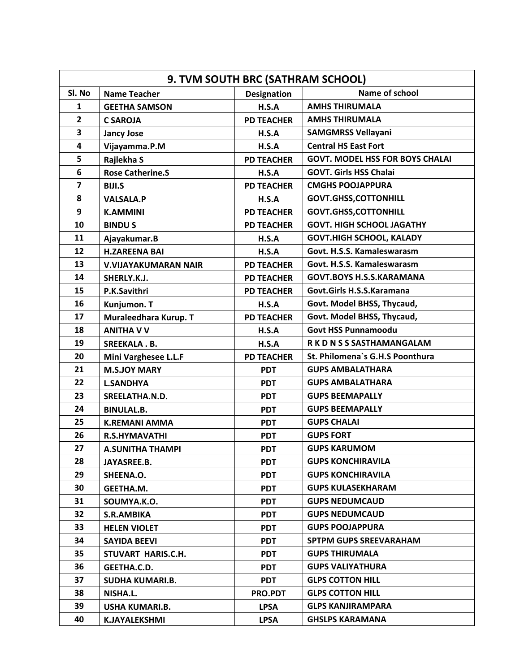| 9. TVM SOUTH BRC (SATHRAM SCHOOL) |                             |                    |                                        |
|-----------------------------------|-----------------------------|--------------------|----------------------------------------|
| Sl. No                            | <b>Name Teacher</b>         | <b>Designation</b> | Name of school                         |
| 1                                 | <b>GEETHA SAMSON</b>        | H.S.A              | <b>AMHS THIRUMALA</b>                  |
| $\overline{2}$                    | <b>C SAROJA</b>             | <b>PD TEACHER</b>  | <b>AMHS THIRUMALA</b>                  |
| 3                                 | <b>Jancy Jose</b>           | H.S.A              | <b>SAMGMRSS Vellayani</b>              |
| 4                                 | Vijayamma.P.M               | H.S.A              | <b>Central HS East Fort</b>            |
| 5                                 | Rajlekha S                  | <b>PD TEACHER</b>  | <b>GOVT. MODEL HSS FOR BOYS CHALAI</b> |
| 6                                 | <b>Rose Catherine.S</b>     | H.S.A              | <b>GOVT. Girls HSS Chalai</b>          |
| $\overline{7}$                    | <b>BIJI.S</b>               | <b>PD TEACHER</b>  | <b>CMGHS POOJAPPURA</b>                |
| 8                                 | <b>VALSALA.P</b>            | H.S.A              | <b>GOVT.GHSS,COTTONHILL</b>            |
| 9                                 | <b>K.AMMINI</b>             | <b>PD TEACHER</b>  | <b>GOVT.GHSS,COTTONHILL</b>            |
| 10                                | <b>BINDUS</b>               | <b>PD TEACHER</b>  | <b>GOVT. HIGH SCHOOL JAGATHY</b>       |
| 11                                | Ajayakumar.B                | H.S.A              | <b>GOVT.HIGH SCHOOL, KALADY</b>        |
| 12                                | <b>H.ZAREENA BAI</b>        | H.S.A              | Govt. H.S.S. Kamaleswarasm             |
| 13                                | <b>V.VIJAYAKUMARAN NAIR</b> | <b>PD TEACHER</b>  | Govt. H.S.S. Kamaleswarasm             |
| 14                                | SHERLY.K.J.                 | <b>PD TEACHER</b>  | <b>GOVT.BOYS H.S.S.KARAMANA</b>        |
| 15                                | P.K.Savithri                | <b>PD TEACHER</b>  | Govt.Girls H.S.S.Karamana              |
| 16                                | Kunjumon. T                 | H.S.A              | Govt. Model BHSS, Thycaud,             |
| 17                                | Muraleedhara Kurup. T       | <b>PD TEACHER</b>  | Govt. Model BHSS, Thycaud,             |
| 18                                | <b>ANITHA V V</b>           | H.S.A              | <b>Govt HSS Punnamoodu</b>             |
| 19                                | <b>SREEKALA.B.</b>          | H.S.A              | R K D N S S SASTHAMANGALAM             |
| 20                                | Mini Varghesee L.L.F        | <b>PD TEACHER</b>  | St. Philomena's G.H.S Poonthura        |
| 21                                | <b>M.S.JOY MARY</b>         | <b>PDT</b>         | <b>GUPS AMBALATHARA</b>                |
| 22                                | <b>L.SANDHYA</b>            | <b>PDT</b>         | <b>GUPS AMBALATHARA</b>                |
| 23                                | SREELATHA.N.D.              | <b>PDT</b>         | <b>GUPS BEEMAPALLY</b>                 |
| 24                                | <b>BINULAL.B.</b>           | <b>PDT</b>         | <b>GUPS BEEMAPALLY</b>                 |
| 25                                | <b>K.REMANI AMMA</b>        | <b>PDT</b>         | <b>GUPS CHALAI</b>                     |
| 26                                | <b>R.S.HYMAVATHI</b>        | <b>PDT</b>         | <b>GUPS FORT</b>                       |
| 27                                | <b>A.SUNITHA THAMPI</b>     | <b>PDT</b>         | <b>GUPS KARUMOM</b>                    |
| 28                                | JAYASREE.B.                 | <b>PDT</b>         | <b>GUPS KONCHIRAVILA</b>               |
| 29                                | SHEENA.O.                   | <b>PDT</b>         | <b>GUPS KONCHIRAVILA</b>               |
| 30                                | GEETHA.M.                   | <b>PDT</b>         | <b>GUPS KULASEKHARAM</b>               |
| 31                                | SOUMYA.K.O.                 | <b>PDT</b>         | <b>GUPS NEDUMCAUD</b>                  |
| 32                                | <b>S.R.AMBIKA</b>           | <b>PDT</b>         | <b>GUPS NEDUMCAUD</b>                  |
| 33                                | <b>HELEN VIOLET</b>         | <b>PDT</b>         | <b>GUPS POOJAPPURA</b>                 |
| 34                                | <b>SAYIDA BEEVI</b>         | <b>PDT</b>         | <b>SPTPM GUPS SREEVARAHAM</b>          |
| 35                                | STUVART HARIS.C.H.          | <b>PDT</b>         | <b>GUPS THIRUMALA</b>                  |
| 36                                | GEETHA.C.D.                 | <b>PDT</b>         | <b>GUPS VALIYATHURA</b>                |
| 37                                | SUDHA KUMARI.B.             | <b>PDT</b>         | <b>GLPS COTTON HILL</b>                |
| 38                                | NISHA.L.                    | <b>PRO.PDT</b>     | <b>GLPS COTTON HILL</b>                |
| 39                                | USHA KUMARI.B.              | <b>LPSA</b>        | <b>GLPS KANJIRAMPARA</b>               |
| 40                                | <b>K.JAYALEKSHMI</b>        | <b>LPSA</b>        | <b>GHSLPS KARAMANA</b>                 |